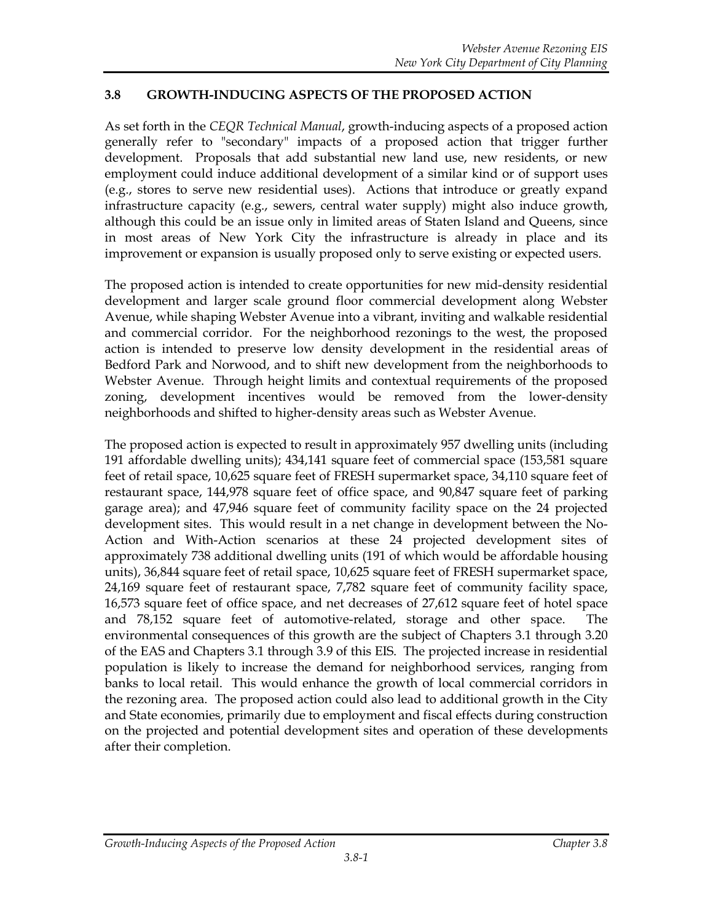## **3.8 GROWTH-INDUCING ASPECTS OF THE PROPOSED ACTION**

As set forth in the *CEQR Technical Manual*, growth-inducing aspects of a proposed action generally refer to "secondary" impacts of a proposed action that trigger further development. Proposals that add substantial new land use, new residents, or new employment could induce additional development of a similar kind or of support uses (e.g., stores to serve new residential uses). Actions that introduce or greatly expand infrastructure capacity (e.g., sewers, central water supply) might also induce growth, although this could be an issue only in limited areas of Staten Island and Queens, since in most areas of New York City the infrastructure is already in place and its improvement or expansion is usually proposed only to serve existing or expected users.

The proposed action is intended to create opportunities for new mid-density residential development and larger scale ground floor commercial development along Webster Avenue, while shaping Webster Avenue into a vibrant, inviting and walkable residential and commercial corridor. For the neighborhood rezonings to the west, the proposed action is intended to preserve low density development in the residential areas of Bedford Park and Norwood, and to shift new development from the neighborhoods to Webster Avenue. Through height limits and contextual requirements of the proposed zoning, development incentives would be removed from the lower-density neighborhoods and shifted to higher-density areas such as Webster Avenue.

The proposed action is expected to result in approximately 957 dwelling units (including 191 affordable dwelling units); 434,141 square feet of commercial space (153,581 square feet of retail space, 10,625 square feet of FRESH supermarket space, 34,110 square feet of restaurant space, 144,978 square feet of office space, and 90,847 square feet of parking garage area); and 47,946 square feet of community facility space on the 24 projected development sites. This would result in a net change in development between the No-Action and With-Action scenarios at these 24 projected development sites of approximately 738 additional dwelling units (191 of which would be affordable housing units), 36,844 square feet of retail space, 10,625 square feet of FRESH supermarket space, 24,169 square feet of restaurant space, 7,782 square feet of community facility space, 16,573 square feet of office space, and net decreases of 27,612 square feet of hotel space and 78,152 square feet of automotive-related, storage and other space. The environmental consequences of this growth are the subject of Chapters 3.1 through 3.20 of the EAS and Chapters 3.1 through 3.9 of this EIS. The projected increase in residential population is likely to increase the demand for neighborhood services, ranging from banks to local retail. This would enhance the growth of local commercial corridors in the rezoning area. The proposed action could also lead to additional growth in the City and State economies, primarily due to employment and fiscal effects during construction on the projected and potential development sites and operation of these developments after their completion.